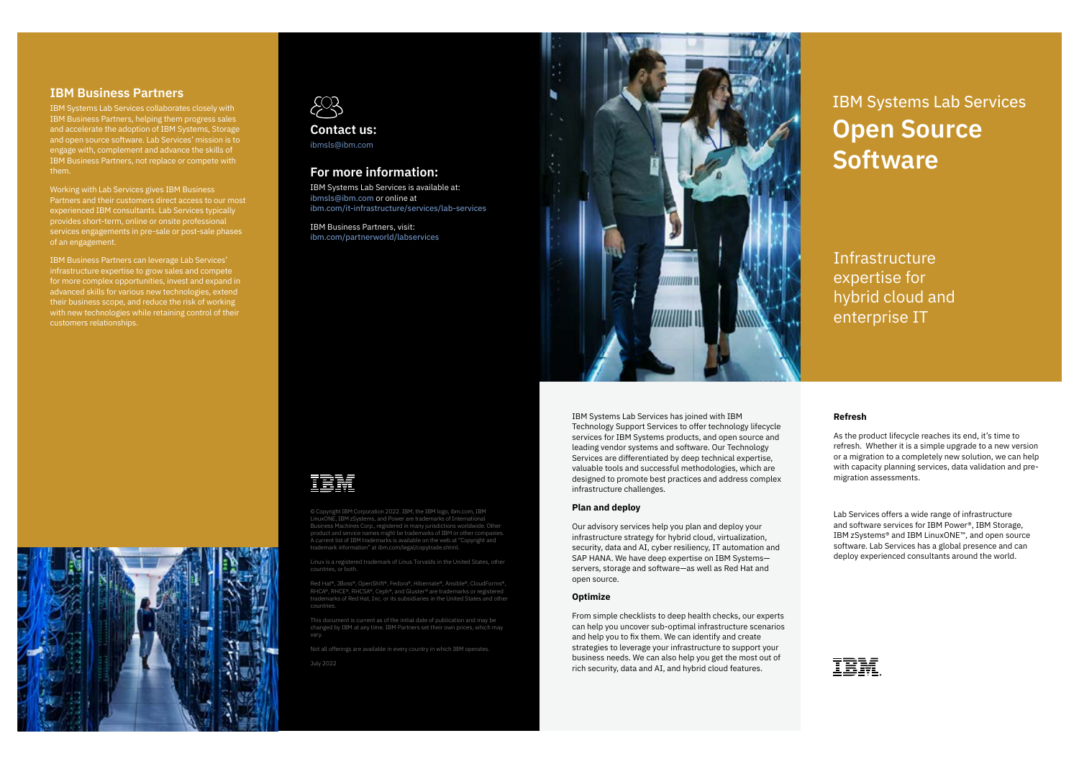# IBM Systems Lab Services **Open Source Software**

### **IBM Business Partners**

IBM Systems Lab Services collaborates closely with IBM Business Partners, helping them progress sales and accelerate the adoption of IBM Systems, Storage and open source software. Lab Services' mission is to engage with, complement and advance the skills of IBM Business Partners, not replace or compete with them.

Working with Lab Services gives IBM Business Partners and their customers direct access to our most experienced IBM consultants. Lab Services typically provides short-term, online or onsite professional services engagements in pre-sale or post-sale phases of an engagement.

IBM Business Partners can leverage Lab Services' infrastructure expertise to grow sales and compete for more complex opportunities, invest and expand in advanced skills for various new technologies, extend their business scope, and reduce the risk of working with new technologies while retaining control of their customers relationships.



IBM Systems Lab Services has joined with IBM Technology Support Services to offer technology lifecycle services for IBM Systems products, and open source and leading vendor systems and software. Our Technology Services are differentiated by deep technical expertise, valuable tools and successful methodologies, which are designed to promote best practices and address complex infrastructure challenges.

### **Plan and deploy**

Our advisory services help you plan and deploy your infrastructure strategy for hybrid cloud, virtualization, security, data and AI, cyber resiliency, IT automation and SAP HANA. We have deep expertise on IBM Systems servers, storage and software—as well as Red Hat and open source.

#### **Optimize**

From simple checklists to deep health checks, our experts can help you uncover sub-optimal infrastructure scenarios and help you to fix them. We can identify and create strategies to leverage your infrastructure to support your business needs. We can also help you get the most out of rich security, data and AI, and hybrid cloud features.

### **Refresh**

As the product lifecycle reaches its end, it's time to refresh. Whether it is a simple upgrade to a new version or a migration to a completely new solution, we can help with capacity planning services, data validation and premigration assessments.

Lab Services offers a wide range of infrastructure and software services for IBM Power®, IBM Storage, IBM zSystems® and IBM LinuxONE™, and open source software. Lab Services has a global presence and can deploy experienced consultants around the world.



Infrastructure expertise for hybrid cloud and enterprise IT



## **For more information:**

IBM Systems Lab Services is available at: ibmsls@ibm.com or online at ibm.com/it-infrastructure/services/lab-services

IBM Business Partners, visit: ibm.com/partnerworld/labservices



© Copyright IBM Corporation 2022. IBM, the IBM logo, ibm.com, IBM product and service names might be trademarks of IBM or other companies. A current list of IBM trademarks is available on the web at "Copyright and trademark information" at ibm.com/legal/copytrade.shtml.

Linux is a registered trademark of Linus Torvalds in the United States, other

Red Hat®, JBoss®, OpenShift®, Fedora®, Hibernate®, Ansible®, CloudForms®, RHCA®, RHCE®, RHCSA®, Ceph®, and Gluster® are trademarks or registered countries.

This document is current as of the initial date of publication and may be changed by IBM at any time. IBM Partners set their own prices, which may vary.

Not all offerings are available in every country in which IBM operates.

July 2022